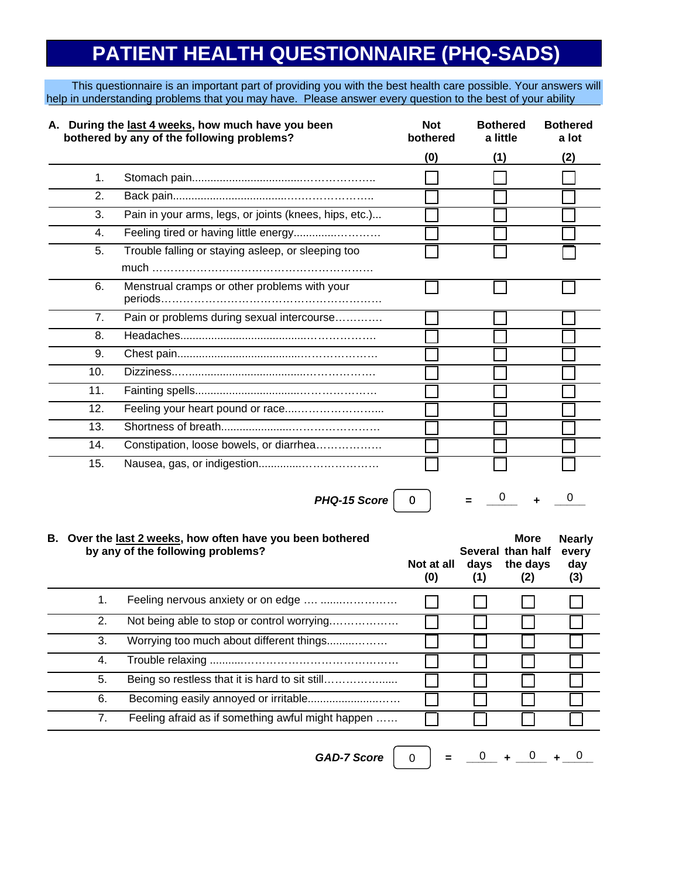# **PATIENT HEALTH QUESTIONNAIRE (PHQ-SADS)**

This questionnaire is an important part of providing you with the best health care possible. Your answers will help in understanding problems that you may have. Please answer every question to the best of your ability

|                | A. During the last 4 weeks, how much have you been<br>bothered by any of the following problems? | <b>Not</b><br>bothered | <b>Bothered</b><br>a little | <b>Bothered</b><br>a lot |  |
|----------------|--------------------------------------------------------------------------------------------------|------------------------|-----------------------------|--------------------------|--|
|                |                                                                                                  | (0)                    | (1)                         | (2)                      |  |
| 1 <sub>1</sub> |                                                                                                  |                        |                             |                          |  |
| 2.             |                                                                                                  |                        |                             |                          |  |
| 3.             | Pain in your arms, legs, or joints (knees, hips, etc.)                                           |                        |                             |                          |  |
| 4.             |                                                                                                  |                        |                             |                          |  |
| 5.             | Trouble falling or staying asleep, or sleeping too                                               |                        |                             |                          |  |
|                |                                                                                                  |                        |                             |                          |  |
| 6.             | Menstrual cramps or other problems with your                                                     |                        |                             |                          |  |
| 7.             | Pain or problems during sexual intercourse                                                       |                        |                             |                          |  |
| 8.             |                                                                                                  |                        |                             |                          |  |
| 9.             |                                                                                                  |                        |                             |                          |  |
| 10.            |                                                                                                  |                        |                             |                          |  |
| 11.            |                                                                                                  |                        |                             |                          |  |
| 12.            |                                                                                                  |                        |                             |                          |  |
| 13.            |                                                                                                  |                        |                             |                          |  |
| 14.            | Constipation, loose bowels, or diarrhea                                                          |                        |                             |                          |  |
| 15.            |                                                                                                  |                        |                             |                          |  |

*PHQ-15* Score  $\begin{array}{cccc} 0 & \end{array}$  =  $\begin{array}{cccc} 0 & \end{array}$  +  $\begin{array}{cccc} 0 & \end{array}$ 

 $= 0 + 0$ 

#### **More B. Over the last 2 weeks, how often have you been bothered Nearly by any of the following problems? Several than half every Not at all days the days day (0) (1) (2) (3)** 1. Feeling nervous anxiety or on edge …. .......……………  $\Box$  $\Box$  $\Box$ 2. Not being able to stop or control worrying.……………… 3. Worrying too much about different things.........……… 4. Trouble relaxing ...........…………………………………… 5. Being so restless that it is hard to sit still………………… 6. Becoming easily annoyed or irritable.......................…… 7. Feeling afraid as if something awful might happen ……

*GAD-7* Score  $\begin{vmatrix} 0 & = & 0 \\ 0 & = & -4 & -0 \\ 0 & 0 & 0 & 0 \end{vmatrix}$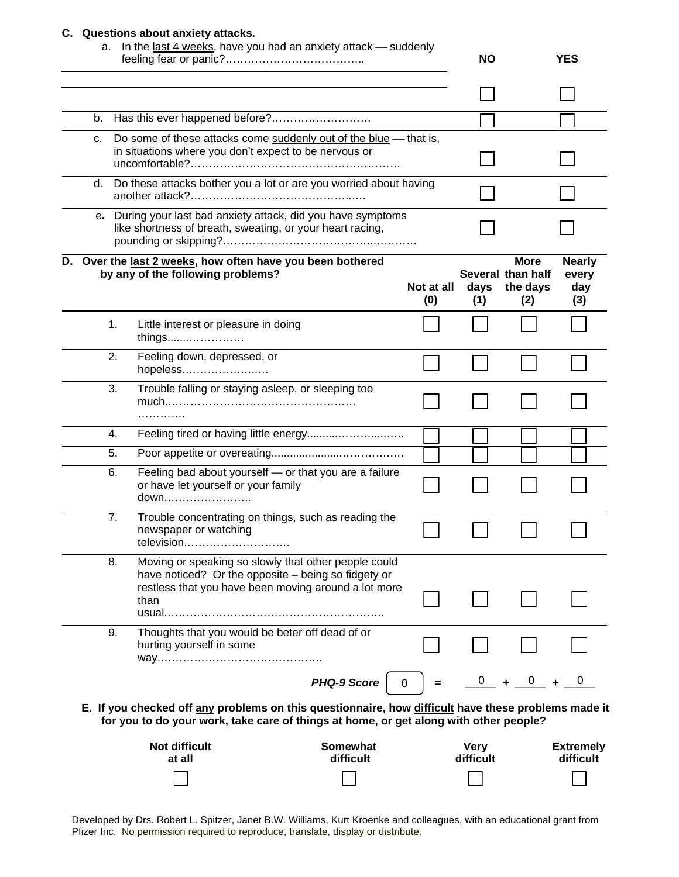#### **C. Questions about anxiety attacks.**

| а. |    | In the last 4 weeks, have you had an anxiety attack - suddenly                                                                                                                               |  |                   | <b>NO</b>                |                                                     | <b>YES</b>                           |
|----|----|----------------------------------------------------------------------------------------------------------------------------------------------------------------------------------------------|--|-------------------|--------------------------|-----------------------------------------------------|--------------------------------------|
|    |    |                                                                                                                                                                                              |  |                   |                          |                                                     |                                      |
| b. |    |                                                                                                                                                                                              |  |                   |                          |                                                     |                                      |
| c. |    | Do some of these attacks come suddenly out of the blue - that is,<br>in situations where you don't expect to be nervous or                                                                   |  |                   |                          |                                                     |                                      |
|    |    | d. Do these attacks bother you a lot or are you worried about having                                                                                                                         |  |                   |                          |                                                     |                                      |
|    |    | e. During your last bad anxiety attack, did you have symptoms<br>like shortness of breath, sweating, or your heart racing,                                                                   |  |                   |                          |                                                     |                                      |
|    |    | D. Over the last 2 weeks, how often have you been bothered<br>by any of the following problems?                                                                                              |  | Not at all<br>(0) | days<br>(1)              | <b>More</b><br>Several than half<br>the days<br>(2) | <b>Nearly</b><br>every<br>day<br>(3) |
|    | 1. | Little interest or pleasure in doing<br>things                                                                                                                                               |  |                   |                          |                                                     |                                      |
|    | 2. | Feeling down, depressed, or<br>hopeless                                                                                                                                                      |  |                   |                          |                                                     |                                      |
|    | 3. | Trouble falling or staying asleep, or sleeping too                                                                                                                                           |  |                   |                          |                                                     |                                      |
|    | 4. |                                                                                                                                                                                              |  |                   |                          |                                                     |                                      |
|    | 5. |                                                                                                                                                                                              |  |                   |                          |                                                     |                                      |
|    | 6. | Feeling bad about yourself - or that you are a failure<br>or have let yourself or your family<br>down                                                                                        |  |                   |                          |                                                     |                                      |
|    | 7. | Trouble concentrating on things, such as reading the<br>newspaper or watching<br>television                                                                                                  |  |                   |                          |                                                     |                                      |
|    | 8. | Moving or speaking so slowly that other people could<br>have noticed? Or the opposite - being so fidgety or<br>restless that you have been moving around a lot more<br>than                  |  |                   |                          |                                                     |                                      |
|    | 9. | Thoughts that you would be beter off dead of or<br>hurting yourself in some                                                                                                                  |  |                   |                          |                                                     |                                      |
|    |    | <b>PHQ-9 Score</b>                                                                                                                                                                           |  | 0                 |                          |                                                     |                                      |
|    |    | E. If you checked off any problems on this questionnaire, how difficult have these problems made it<br>for you to do your work, take care of things at home, or get along with other people? |  |                   |                          |                                                     |                                      |
|    |    | <b>Not difficult</b><br><b>Somewhat</b><br>difficult<br>at all                                                                                                                               |  |                   | <b>Very</b><br>difficult |                                                     | <b>Extremely</b><br>difficult        |
|    |    |                                                                                                                                                                                              |  |                   |                          |                                                     |                                      |

Developed by Drs. Robert L. Spitzer, Janet B.W. Williams, Kurt Kroenke and colleagues, with an educational grant from Pfizer Inc. No permission required to reproduce, translate, display or distribute.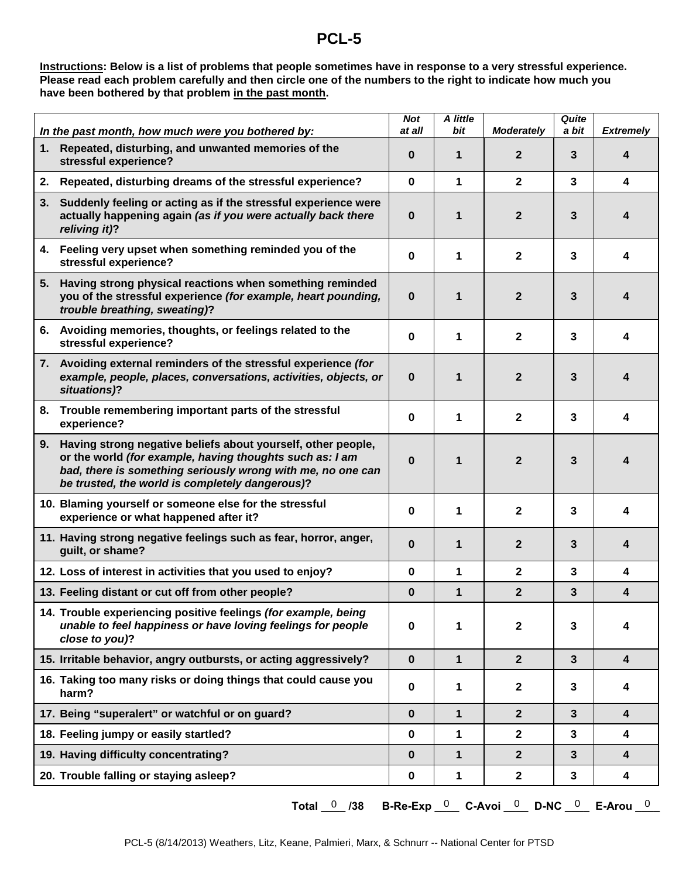### **PCL-5**

**Instructions: Below is a list of problems that people sometimes have in response to a very stressful experience. Please read each problem carefully and then circle one of the numbers to the right to indicate how much you have been bothered by that problem in the past month.** 

|    | In the past month, how much were you bothered by:                                                                                                                                                                                             | <b>Not</b><br>at all | A little<br>bit | <b>Moderately</b> | Quite<br>a bit | <b>Extremely</b>        |
|----|-----------------------------------------------------------------------------------------------------------------------------------------------------------------------------------------------------------------------------------------------|----------------------|-----------------|-------------------|----------------|-------------------------|
| 1. | Repeated, disturbing, and unwanted memories of the<br>stressful experience?                                                                                                                                                                   | 0                    | 1               | $\overline{2}$    | 3              | 4                       |
| 2. | Repeated, disturbing dreams of the stressful experience?                                                                                                                                                                                      | $\bf{0}$             | 1               | $\mathbf{2}$      | 3              | 4                       |
|    | 3. Suddenly feeling or acting as if the stressful experience were<br>actually happening again (as if you were actually back there<br>reliving it)?                                                                                            | $\bf{0}$             | 1               | $\mathbf{2}$      | 3              | 4                       |
|    | 4. Feeling very upset when something reminded you of the<br>stressful experience?                                                                                                                                                             | 0                    | 1               | $\mathbf{2}$      | 3              | 4                       |
|    | 5. Having strong physical reactions when something reminded<br>you of the stressful experience (for example, heart pounding,<br>trouble breathing, sweating)?                                                                                 | $\bf{0}$             | 1               | $\overline{2}$    | 3              | 4                       |
|    | 6. Avoiding memories, thoughts, or feelings related to the<br>stressful experience?                                                                                                                                                           | 0                    | 1               | $\mathbf{2}$      | 3              | 4                       |
|    | 7. Avoiding external reminders of the stressful experience (for<br>example, people, places, conversations, activities, objects, or<br>situations)?                                                                                            | $\bf{0}$             | 1               | $\overline{2}$    | 3              | 4                       |
|    | 8. Trouble remembering important parts of the stressful<br>experience?                                                                                                                                                                        | $\bf{0}$             | 1               | $\mathbf{2}$      | 3              | 4                       |
|    | 9. Having strong negative beliefs about yourself, other people,<br>or the world (for example, having thoughts such as: I am<br>bad, there is something seriously wrong with me, no one can<br>be trusted, the world is completely dangerous)? | $\bf{0}$             | 1               | $\mathbf{2}$      | 3              | 4                       |
|    | 10. Blaming yourself or someone else for the stressful<br>experience or what happened after it?                                                                                                                                               | 0                    | 1               | $\mathbf{2}$      | 3              | 4                       |
|    | 11. Having strong negative feelings such as fear, horror, anger,<br>guilt, or shame?                                                                                                                                                          | $\bf{0}$             | 1               | $\mathbf{2}$      | 3              | 4                       |
|    | 12. Loss of interest in activities that you used to enjoy?                                                                                                                                                                                    | 0                    | 1               | $\mathbf{2}$      | 3              | 4                       |
|    | 13. Feeling distant or cut off from other people?                                                                                                                                                                                             | $\bf{0}$             | $\mathbf{1}$    | $\overline{2}$    | 3              | 4                       |
|    | 14. Trouble experiencing positive feelings (for example, being<br>unable to feel happiness or have loving feelings for people<br>close to you)?                                                                                               | 0                    | 1               | $\mathbf{2}$      | 3              | 4                       |
|    | 15. Irritable behavior, angry outbursts, or acting aggressively?                                                                                                                                                                              | $\mathbf 0$          | $\mathbf{1}$    | $\overline{2}$    | $\mathbf{3}$   | 4                       |
|    | 16. Taking too many risks or doing things that could cause you<br>harm?                                                                                                                                                                       | $\bf{0}$             | 1               | $\mathbf{2}$      | 3              | 4                       |
|    | 17. Being "superalert" or watchful or on guard?                                                                                                                                                                                               | $\bf{0}$             | 1               | $\overline{2}$    | 3              | 4                       |
|    | 18. Feeling jumpy or easily startled?                                                                                                                                                                                                         | 0                    | 1               | $\mathbf{2}$      | $\mathbf{3}$   | $\overline{\mathbf{4}}$ |
|    | 19. Having difficulty concentrating?                                                                                                                                                                                                          | $\bf{0}$             | $\mathbf{1}$    | $\overline{2}$    | 3              | 4                       |
|    | 20. Trouble falling or staying asleep?                                                                                                                                                                                                        | $\mathbf 0$          | 1               | $\mathbf{2}$      | 3              | 4                       |

**Total \_\_\_\_ /38 B-Re-Exp \_\_\_\_ C-Avoi \_\_\_\_ D-NC \_\_\_\_ E-Arou \_\_\_\_**  0 0 0 0 0